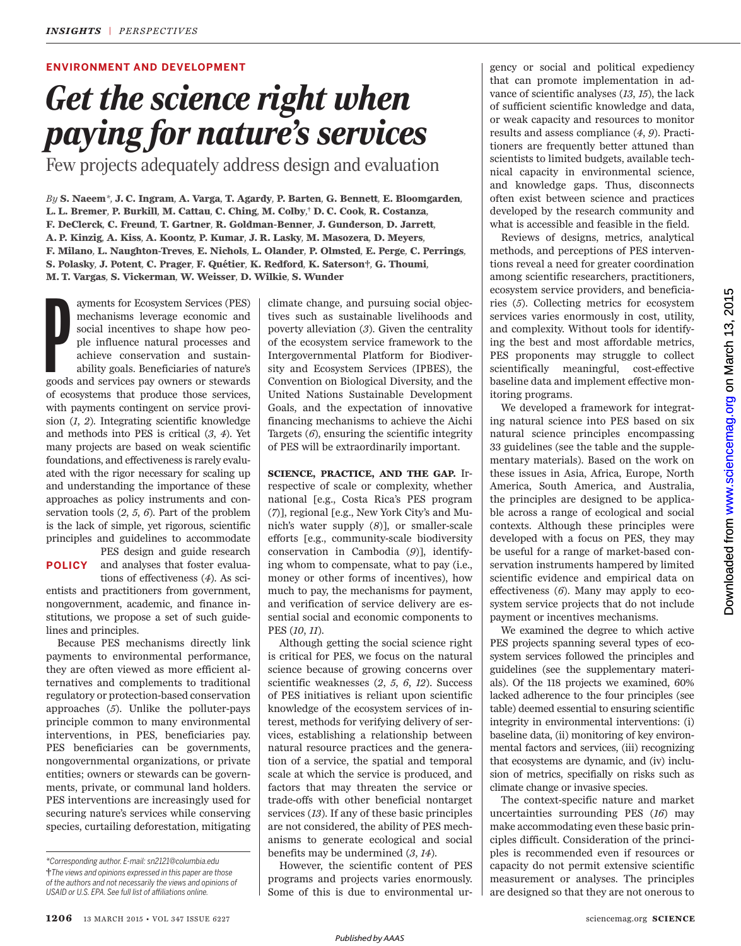# **ENVIRONMENT AND DEVELOPMENT**

# *Get the science right when paying for nature's services*

Few projects adequately address design and evaluation

By S. Naeem<sup>\*</sup>, J. C. Ingram, A. Varga, T. Agardy, P. Barten, G. Bennett, E. Bloomgarden, L. L. Bremer, P. Burkill, M. Cattau, C. Ching, M. Colby,† D. C. Cook, R. Costanza, **F. DeClerck***,* **C. Freund***,* **T. Gartner***,* **R. Goldman-Benner***,* **J. Gunderson***,* **D. Jarrett***,*  A. P. Kinzig, A. Kiss, A. Koontz, P. Kumar, J. R. Lasky, M. Masozera, D. Meyers, F. Milano, L. Naughton-Treves, E. Nichols, L. Olander, P. Olmsted, E. Perge, C. Perrings, S. Polasky, J. Potent, C. Prager, F. Quétier, K. Redford, K. Saterson†, G. Thoumi, **M. T. Vargas***,* **S. Vickerman***,* **W. Weisser***,* **D. Wilkie***,* **S. Wunder**

ayments for Ecosystem Services (PES) mechanisms leverage economic and social incentives to shape how people influence natural processes and achieve conservation and sustainability goals. Beneficiaries of nature's goods and mechanisms leverage economic and social incentives to shape how people influence natural processes and achieve conservation and sustainability goals. Beneficiaries of nature's goods and services pay owners or stewards of ecosystems that produce those services, with payments contingent on service provision (1, 2). Integrating scientific knowledge and methods into PES is critical  $(3, 4)$ . Yet many projects are based on weak scientific foundations, and effectiveness is rarely evaluated with the rigor necessary for scaling up and understanding the importance of these approaches as policy instruments and conservation tools  $(2, 5, 6)$ . Part of the problem is the lack of simple, yet rigorous, scientific principles and guidelines to accommodate

**POLICY**

PES design and guide research and analyses that foster evaluations of effectiveness (4). As sci-

entists and practitioners from government, nongovernment, academic, and finance institutions, we propose a set of such guidelines and principles.

Because PES mechanisms directly link payments to environmental performance, they are often viewed as more efficient alternatives and complements to traditional regulatory or protection-based conservation approaches (5). Unlike the polluter-pays principle common to many environmental interventions, in PES, beneficiaries pay. PES beneficiaries can be governments, nongovernmental organizations, or private entities; owners or stewards can be governments, private, or communal land holders. PES interventions are increasingly used for securing nature's services while conserving species, curtailing deforestation, mitigating

climate change, and pursuing social objectives such as sustainable livelihoods and poverty alleviation (3). Given the centrality of the ecosystem service framework to the Intergovernmental Platform for Biodiversity and Ecosystem Services (IPBES), the Convention on Biological Diversity, and the United Nations Sustainable Development Goals, and the expectation of innovative financing mechanisms to achieve the Aichi Targets  $(6)$ , ensuring the scientific integrity of PES will be extraordinarily important.

**SCIENCE, PRACTICE, AND THE GAP.** Irrespective of scale or complexity, whether national [e.g., Costa Rica's PES program ( *7*)], regional [e.g., New York City's and Munich's water supply (8)], or smaller-scale efforts [e.g., community-scale biodiversity conservation in Cambodia (9)], identifying whom to compensate, what to pay (i.e., money or other forms of incentives), how much to pay, the mechanisms for payment, and verification of service delivery are essential social and economic components to PES ( *10*, *11*).

Although getting the social science right is critical for PES, we focus on the natural science because of growing concerns over scientific weaknesses  $(2, 5, 6, 12)$ . Success of PES initiatives is reliant upon scientific knowledge of the ecosystem services of interest, methods for verifying delivery of services, establishing a relationship between natural resource practices and the generation of a service, the spatial and temporal scale at which the service is produced, and factors that may threaten the service or trade-offs with other beneficial nontarget services (13). If any of these basic principles are not considered, the ability of PES mechanisms to generate ecological and social benefits may be undermined  $(3, 14)$ .

However, the scientific content of PES programs and projects varies enormously. Some of this is due to environmental ur-

gency or social and political expediency that can promote implementation in advance of scientific analyses (13, 15), the lack of sufficient scientific knowledge and data, or weak capacity and resources to monitor results and assess compliance ( *4*, *9*). Practitioners are frequently better attuned than scientists to limited budgets, available technical capacity in environmental science, and knowledge gaps. Thus, disconnects often exist between science and practices developed by the research community and what is accessible and feasible in the field.

Reviews of designs, metrics, analytical methods, and perceptions of PES interventions reveal a need for greater coordination among scientific researchers, practitioners, ecosystem service providers, and beneficiaries ( *5*). Collecting metrics for ecosystem services varies enormously in cost, utility, and complexity. Without tools for identifying the best and most affordable metrics, PES proponents may struggle to collect scientifically meaningful, cost-effective baseline data and implement effective monitoring programs.

We developed a framework for integrating natural science into PES based on six natural science principles encompassing 33 guidelines (see the table and the supplementary materials). Based on the work on these issues in Asia, Africa, Europe, North America, South America, and Australia, the principles are designed to be applicable across a range of ecological and social contexts. Although these principles were developed with a focus on PES, they may be useful for a range of market-based conservation instruments hampered by limited scientific evidence and empirical data on effectiveness (6). Many may apply to ecosystem service projects that do not include payment or incentives mechanisms.

We examined the degree to which active PES projects spanning several types of ecosystem services followed the principles and guidelines (see the supplementary materials). Of the 118 projects we examined, 60% lacked adherence to the four principles (see table) deemed essential to ensuring scientific integrity in environmental interventions: (i) baseline data, (ii) monitoring of key environmental factors and services, (iii) recognizing that ecosystems are dynamic, and (iv) inclusion of metrics, specifially on risks such as climate change or invasive species.

The context-specific nature and market uncertainties surrounding PES (16) may make accommodating even these basic principles difficult. Consideration of the principles is recommended even if resources or capacity do not permit extensive scientific measurement or analyses. The principles are designed so that they are not onerous to

*<sup>\*</sup>Corresponding author. E-mail: sn2121@columbia.edu* **†***The views and opinions expressed in this paper are those of the authors and not necessarily the views and opinions of*  USAID or U.S. EPA. See full list of affiliations online.